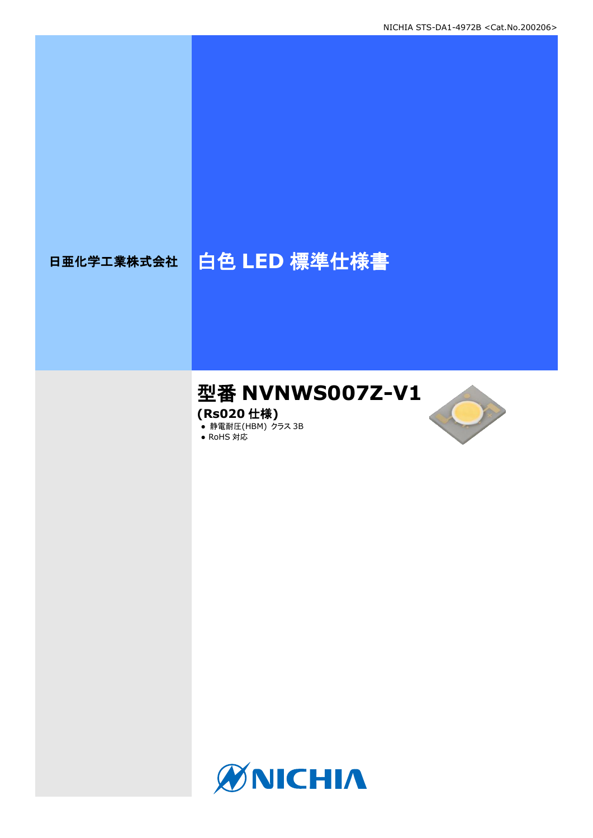# 日亜化学工業株式会社 | 白色 LED 標準仕様書

## 型番 **NVNWS007Z-V1**

**(Rs020** 仕様**)**

**● 静電耐圧(HBM) クラス 3B** 





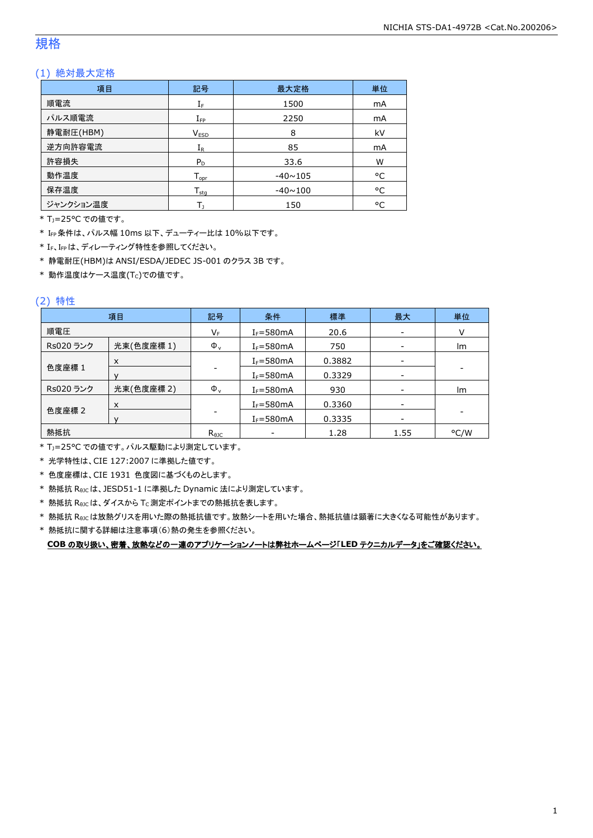### 規格

### (1) 絶対最大定格

| 項目        | 記号                  | 最大定格           | 単位 |
|-----------|---------------------|----------------|----|
| 順電流       | ${\rm I}_{{\rm F}}$ | 1500           | mA |
| パルス順電流    | $I_{\text{FP}}$     | 2250           | mA |
| 静電耐圧(HBM) | <b>VESD</b>         | 8              | kV |
| 逆方向許容電流   | $I_R$               | 85             | mA |
| 許容損失      | $P_D$               | 33.6           | W  |
| 動作温度      | $T_{\text{opr}}$    | $-40 \sim 105$ | °C |
| 保存温度      | $T_{\rm stq}$       | $-40 \sim 100$ | °C |
| ジャンクション温度 |                     | 150            | °C |

\* TJ=25°C での値です。

\* IFP条件は、パルス幅 10ms 以下、デューティー比は 10%以下です。

\* IF、IFPは、ディレーティング特性を参照してください。

\* 静電耐圧(HBM)は ANSI/ESDA/JEDEC JS-001 のクラス 3B です。

 $*$ 動作温度はケース温度(Tc)での値です。

### (2) 特性

|           | 項目         | 記号             | 条件            | 標準     | 最大                       | 単位                       |
|-----------|------------|----------------|---------------|--------|--------------------------|--------------------------|
| 順電圧       |            | VF             | $I_F = 580mA$ | 20.6   | $\overline{\phantom{a}}$ |                          |
| Rs020 ランク | 光束(色度座標1)  | $\Phi_{\rm v}$ | $I_F = 580mA$ | 750    |                          | Im                       |
|           | X          |                | $I_F = 580mA$ | 0.3882 | -                        |                          |
| 色度座標 1    |            |                | $I_F = 580mA$ | 0.3329 | -                        | $\overline{\phantom{a}}$ |
| Rs020 ランク | 光束(色度座標 2) | $\Phi_{v}$     | $I_F = 580mA$ | 930    | $\overline{\phantom{a}}$ | Im                       |
|           | X          |                | $I_F = 580mA$ | 0.3360 | $\overline{\phantom{a}}$ |                          |
| 色度座標 2    |            |                | $I_F = 580mA$ | 0.3335 |                          |                          |
| 熱抵抗       |            | $R_{\theta$ JC |               | 1.28   | 1.55                     | °C/W                     |

\* TJ=25°C での値です。パルス駆動により測定しています。

\* 光学特性は、CIE 127:2007 に準拠した値です。

\* 色度座標は、CIE 1931 色度図に基づくものとします。

\* 熱抵抗 RθJCは、JESD51-1 に準拠した Dynamic 法により測定しています。

 $*$  熱抵抗  $R_{\theta JC}$ は、ダイスから Tc 測定ポイントまでの熱抵抗を表します。

\* 熱抵抗 RθJCは放熱グリスを用いた際の熱抵抗値です。放熱シートを用いた場合、熱抵抗値は顕著に大きくなる可能性があります。

\* 熱抵抗に関する詳細は注意事項(6)熱の発生を参照ください。

**COB** の取り扱い、密着、放熱などの一連のアプリケーションノートは弊社ホームページ「**LED** テクニカルデータ」をご確認ください。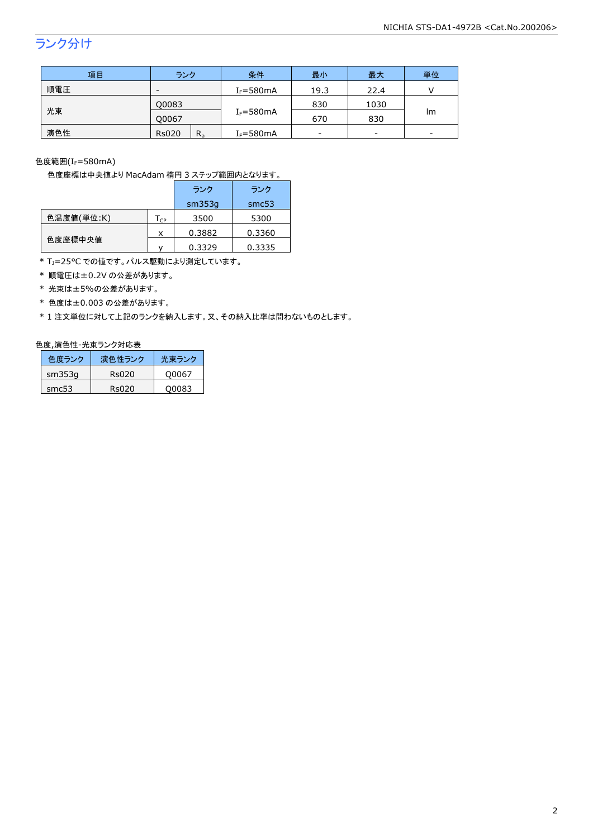## ランク分け

| 項目  | ランク                     | 条件            | 最小   | 最大   | 単位 |
|-----|-------------------------|---------------|------|------|----|
| 順電圧 | -                       | $I_F = 580mA$ | 19.3 | 22.4 |    |
|     | Q0083                   |               | 830  | 1030 |    |
| 光束  | 00067                   | $I_F = 580mA$ | 670  | 830  | Im |
| 演色性 | $R_{a}$<br><b>Rs020</b> | $I_F = 580mA$ | -    | -    | -  |

色度範囲 $(I_f = 580$ mA)

色度座標は中央値より MacAdam 楕円 3 ステップ範囲内となります。

|            |                            | ランク    | ランク    |
|------------|----------------------------|--------|--------|
|            |                            | sm353q | smc53  |
| 色温度値(単位:K) | $\mathsf{T}_{\mathsf{CP}}$ | 3500   | 5300   |
|            | x                          | 0.3882 | 0.3360 |
| 色度座標中央値    |                            | 0.3329 | 0.3335 |

\* T<sub>J</sub>=25°C での値です。パルス駆動により測定しています。

\* 順電圧は±0.2V の公差があります。

\* 光束は±5%の公差があります。

\* 色度は±0.003 の公差があります。

\* 1 注文単位に対して上記のランクを納入します。又、その納入比率は問わないものとします。

#### 色度,演色性-光束ランク対応表

| 色度ランク    | 演色性ランク | 光東ランク |
|----------|--------|-------|
| sm353q   | Rs020  | O0067 |
| sm $c53$ | Rs020  | O0083 |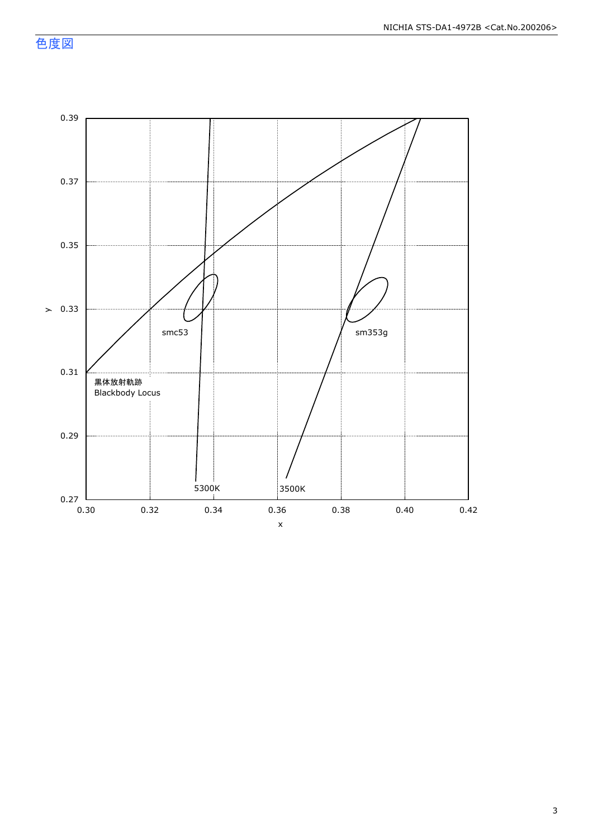色度図

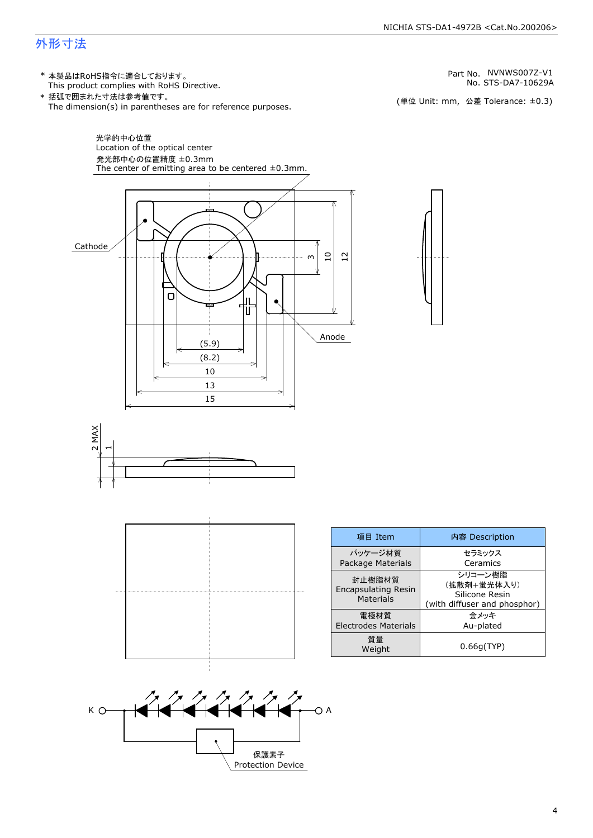### 外形寸法

(単位 Unit: mm) This product complies with RoHS Directive. \* 本製品はRoHS指令に適合しております。 (単位 Unit: mm, 公差 Tolerance: ±0.3) STS-DA7-10629A NVNWS007Z-V1 The dimension(s) in parentheses are for reference purposes. \* 括弧で囲まれた寸法は参考値です。 No. Part No.





| 項目 Item                                                  | 内容 Description                                                           |  |  |
|----------------------------------------------------------|--------------------------------------------------------------------------|--|--|
| パッケージ材質<br>Package Materials                             | セラミックス<br>Ceramics                                                       |  |  |
| 封止樹脂材質<br><b>Encapsulating Resin</b><br><b>Materials</b> | シリコーン樹脂<br>(拡散剤+蛍光体入り)<br>Silicone Resin<br>(with diffuser and phosphor) |  |  |
| 電極材質<br><b>Electrodes Materials</b>                      | 金メッキ<br>Au-plated                                                        |  |  |
| 質量<br>Weight                                             | 0.66q(TYP)                                                               |  |  |

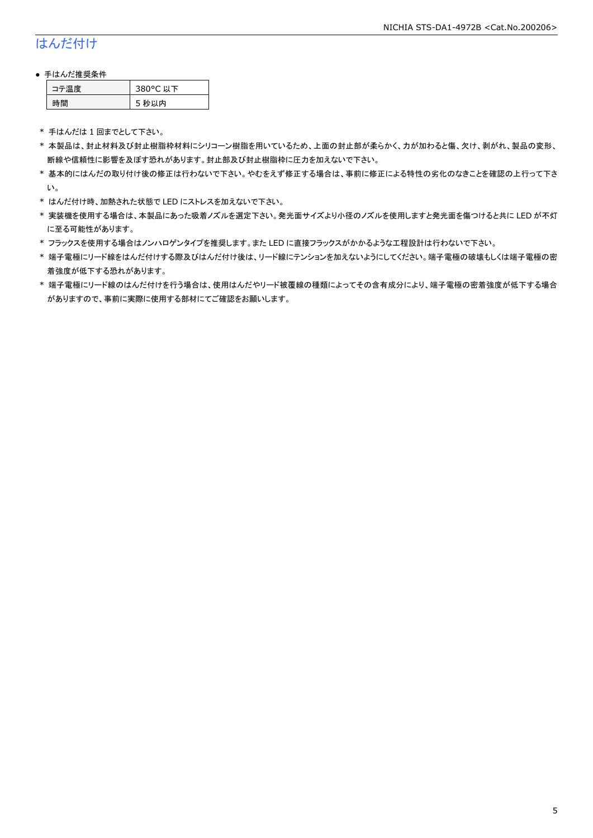### はんだ付け

### ● 手はんだ推奨条件

| 涅度 | 380°C 以下 |
|----|----------|
| 間  | 5 秒以内    |

\* 手はんだは 1 回までとして下さい。

- \* 本製品は、封止材料及び封止樹脂枠材料にシリコーン樹脂を用いているため、上面の封止部が柔らかく、力が加わると傷、欠け、剥がれ、製品の変形、 断線や信頼性に影響を及ぼす恐れがあります。封止部及び封止樹脂枠に圧力を加えないで下さい。
- \* 基本的にはんだの取り付け後の修正は行わないで下さい。やむをえず修正する場合は、事前に修正による特性の劣化のなきことを確認の上行って下さ い。
- \* はんだ付け時、加熱された状態で LED にストレスを加えないで下さい。
- \* 実装機を使用する場合は、本製品にあった吸着ノズルを選定下さい。発光面サイズより小径のノズルを使用しますと発光面を傷つけると共に LED が不灯 に至る可能性があります。
- \* フラックスを使用する場合はノンハロゲンタイプを推奨します。また LED に直接フラックスがかかるような工程設計は行わないで下さい。
- \* 端子電極にリード線をはんだ付けする際及びはんだ付け後は、リード線にテンションを加えないようにしてください。端子電極の破壊もしくは端子電極の密 着強度が低下する恐れがあります。
- \* 端子電極にリード線のはんだ付けを行う場合は、使用はんだやリード被覆線の種類によってその含有成分により、端子電極の密着強度が低下する場合 がありますので、事前に実際に使用する部材にてご確認をお願いします。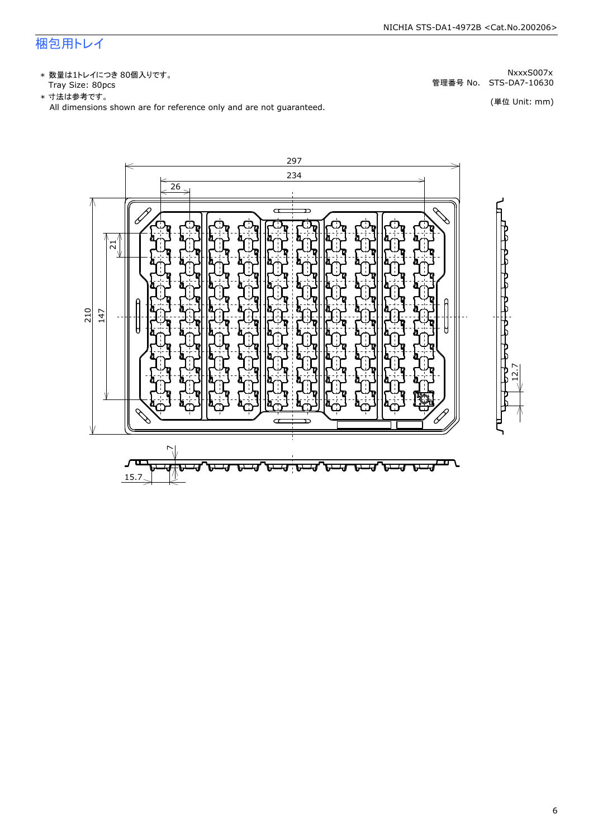### 梱包用トレイ

\* 数量は1トレイにつき 80個入りです。<br>Tray Size: 80pcs

\* 数量は1トレイにつき 80個入りです。<br>Tray Size: 80pcs<br>\* 寸法は参考です。<br>All dimensions shown are for reference only and are not guaranteed. \* づ法は参考です。 (単位 Unit: mm)

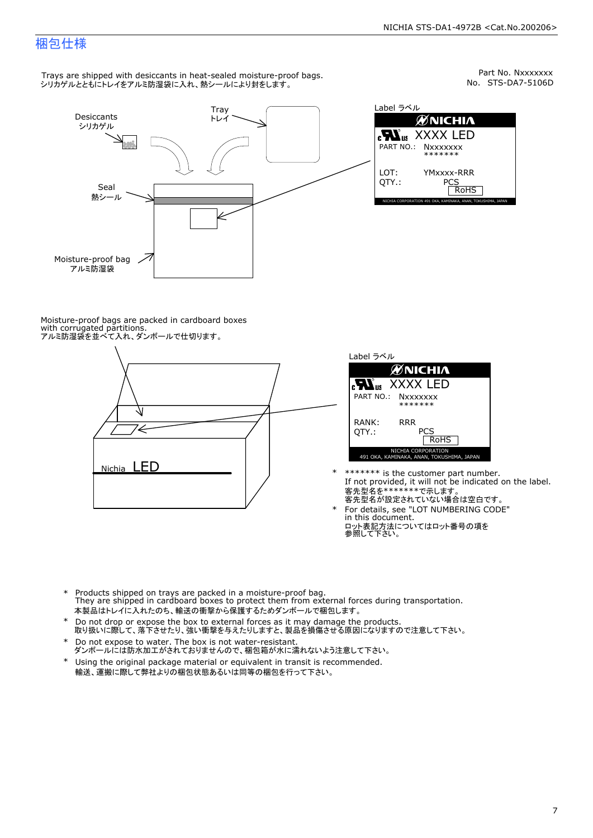Part No. Nxxxxxxx<br>No. STS-DA7-5106D

### 梱包仕様

Trays are shipped with desiccants in heat-sealed moisture-proof bags. シリカゲルとともにトレイをアルミ防湿袋に入れ、熱シールにより封をします。



Label ラベル  $\mathscr{U}$ NICHIA  $\begin{array}{lll} \text{cN}_{\text{us}} & \text{XXXX} & \text{LED} \\ \text{part no.:} & \text{Nxxxxxxx} \\ \text{LOT:} & \text{YMxxxx-RRR} \\ \text{QTY.:} & & \text{PCS} \\ \hline & \text{ROHS} \end{array}$ NICHIA CORPORATION <sup>491</sup> OKA, KAMINAKA, ANAN, TOKUSHIMA, JAPAN LOT: QTY.: YMxxxx-RRR PCS PART NO.:

Moisture-proof bags are packed in cardboard boxes with corrugated partitions. アルミ防湿袋を並べて入れ、ダンボールで仕切ります。





- \* \*\*\*\*\*\*\* is the customer part number.<br>If not provided, it will not be indicated on the label.<br>客先型名が設定されていない場合は空白です。
- For details, see "LOT NUMBERING CODE"<br>in this document.<br>ロット表記方法についてはロット番号の項を<br>参照して下さい。
- \* Products shipped on trays are packed in a moisture-proof bag.<br>They are shipped in cardboard boxes to protect them from external forces during transportation.<br>本製品はトレイに入れたのち、輸送の衝撃から保護するためダンボールで梱包します。<br>\* Do not drop or exp 本製品はトレイに入れたのち、輸送の衝撃から保護するためダンボールで梱包します。
- Do not drop or expose the box to external forces as it may damage the products. \*
- 取り扱いに際して、落下させたり、強い衝撃を与えたりしますと、製品を損傷させる原因になりますので注意して下さい。 Do not expose to water. The box is not water-resistant. \*
- ダンボールには防水加工がされておりませんので、梱包箱が水に濡れないよう注意して下さい。 \*
- 輸送、運搬に際して弊社よりの梱包状態あるいは同等の梱包を行って下さい。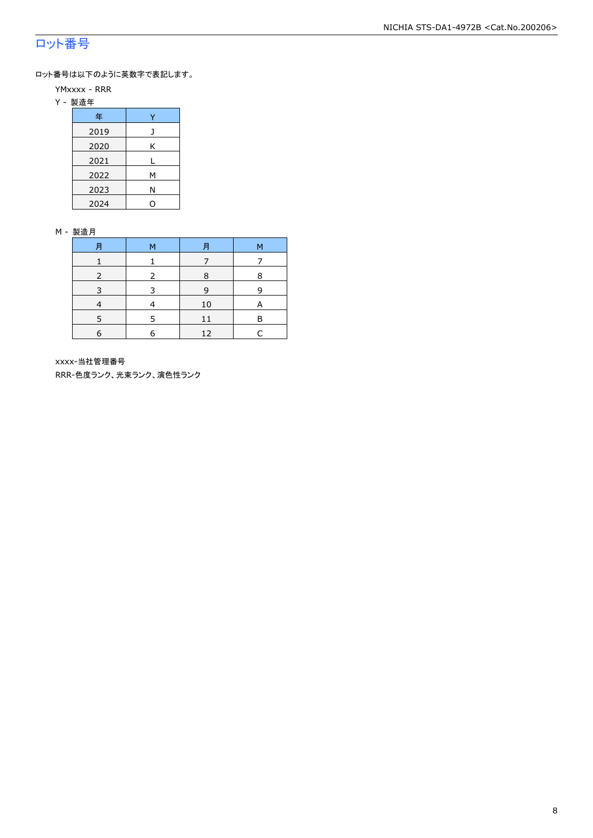### ロット番号

ロット番号は以下のように英数字で表記します。

- YMxxxx RRR
- Y 製造年

| 年    |   |
|------|---|
| 2019 |   |
| 2020 | Κ |
| 2021 |   |
| 2022 | М |
| 2023 | Ν |
| 2024 |   |

#### M - 製造月

| 月 | м | 月  | М |
|---|---|----|---|
|   |   |    |   |
|   |   | 8  | 8 |
| 3 | 3 | 9  | q |
|   |   | 10 |   |
|   |   | 11 | P |
| 6 | 6 | 12 |   |

xxxx-当社管理番号

RRR-色度ランク、光束ランク、演色性ランク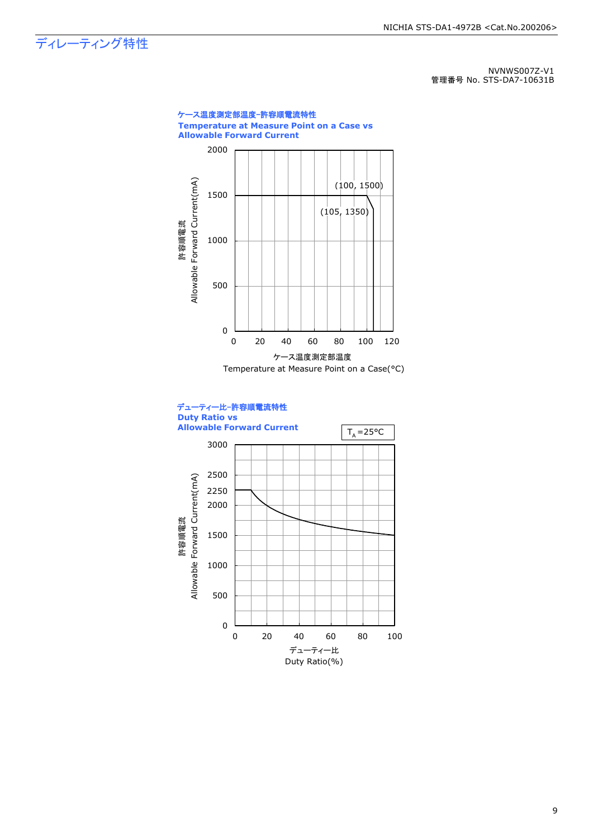ディレーティング特性

NVNWS007Z-V1 管理番号 No. STS-DA7-10631B

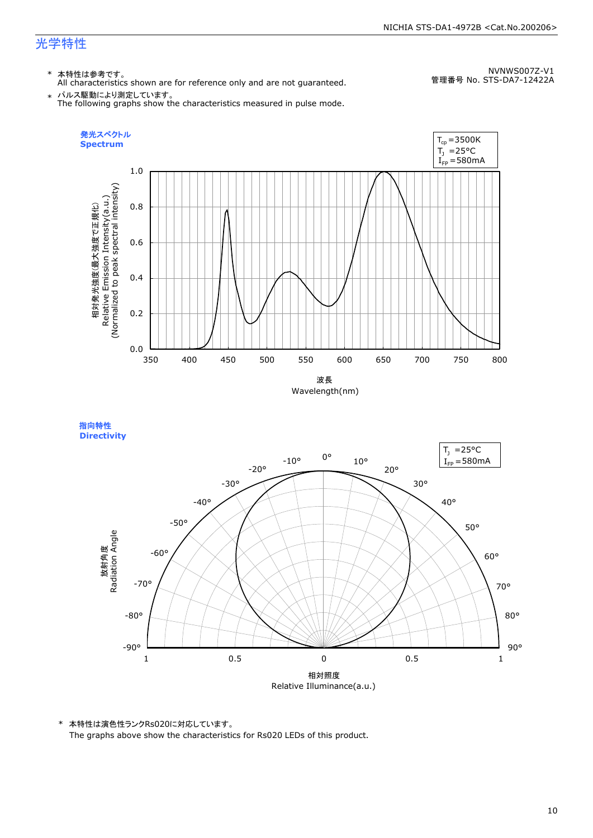#### NICHIA STS-DA1-4972B <Cat.No.200206>

### 光学特性

### \* 本特性は参考です。

All characteristics shown are for reference only and are not guaranteed.

NVNWS007Z-V1 管理番号 No. STS-DA7-12422A

 $\;\ast\;$  パルス駆動により測定しています。<br>The following graphs show the characteristics measured in pulse mode.



指向特性 **Directivity** 



\* 本特性は演色性ランクRs020に対応しています。 The graphs above show the characteristics for Rs020 LEDs of this product.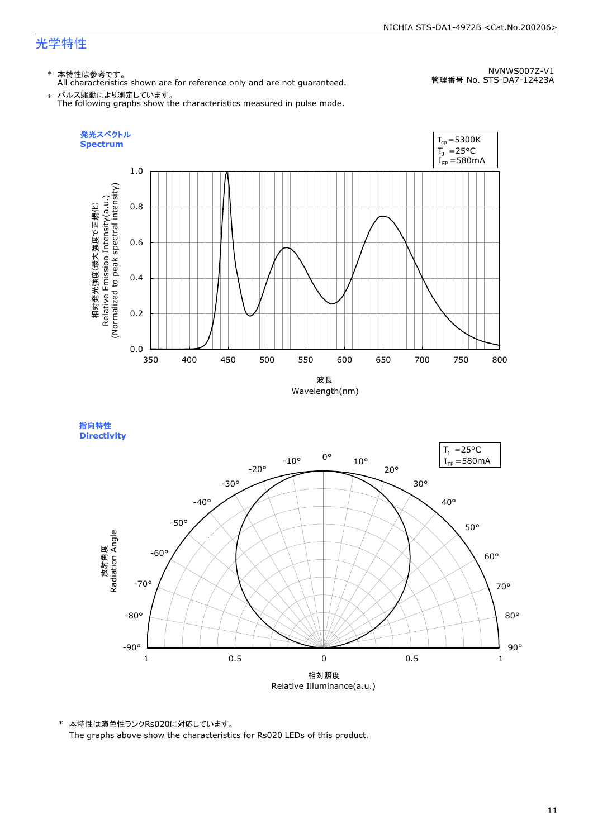### 光学特性

### \* 本特性は参考です。

All characteristics shown are for reference only and are not guaranteed.

NVNWS007Z-V1 管理番号 No. STS-DA7-12423A

 $\;\ast\;$  パルス駆動により測定しています。<br>The following graphs show the characteristics measured in pulse mode.



指向特性 **Directivity** 



\* 本特性は演色性ランクRs020に対応しています。 The graphs above show the characteristics for Rs020 LEDs of this product.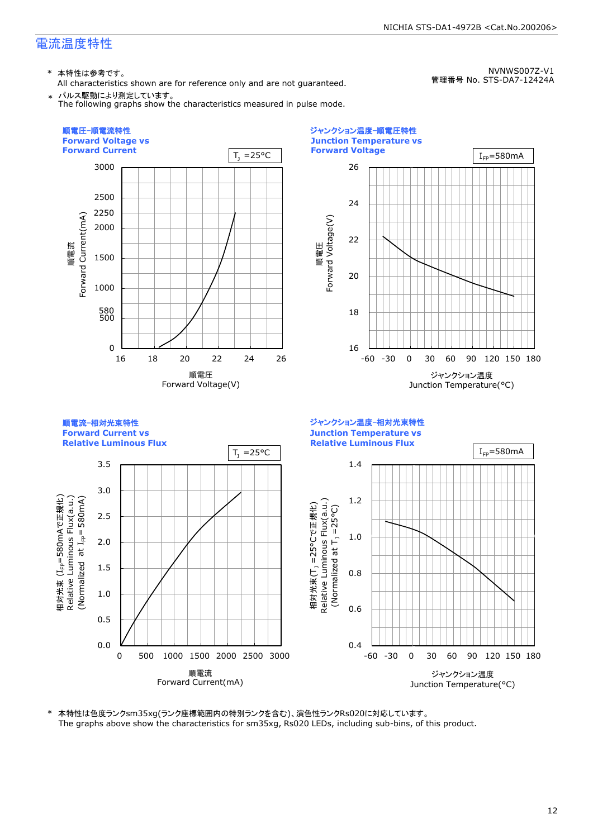\* 本特性は参考です。

All characteristics shown are for reference only and are not guaranteed. \* パルス駆動により測定しています。

The following graphs show the characteristics measured in pulse mode.

NVNWS007Z-V1 管理番号 No. STS-DA7-12424A

NICHIA STS-DA1-4972B <Cat.No.200206>



\* 本特性は色度ランクsm35xg(ランク座標範囲内の特別ランクを含む)、演色性ランクRs020に対応しています。 The graphs above show the characteristics for sm35xg, Rs020 LEDs, including sub-bins, of this product.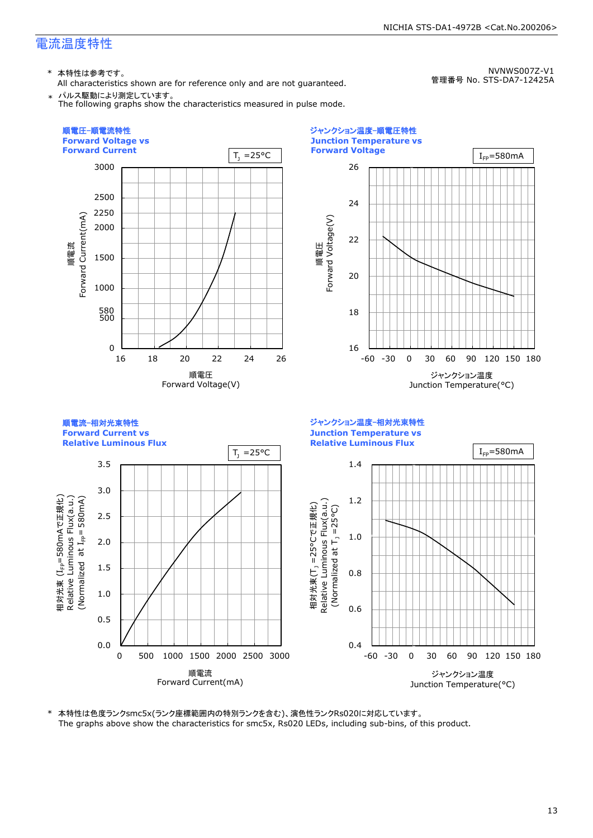\* 本特性は参考です。

All characteristics shown are for reference only and are not guaranteed. \* パルス駆動により測定しています。

The following graphs show the characteristics measured in pulse mode.

管理番号 No. STS-DA7-12425A

NVNWS007Z-V1

NICHIA STS-DA1-4972B <Cat.No.200206>

順電圧-順電流特性 ジャンクション温度-順電圧特性 **Forward Voltage vs Junction Temperature vs Forward Current Forward Voltage**  $T_1 = 25^{\circ}C$  $I_{FD}$ =580mA 3000 26 2500 24 2250 順電流<br>-<br>orward Current(mA) Forward Current(mA) 順電圧<br>Forward Voltage(V) Forward Voltage(V) 2000 22 1500 20 1000 500 580 18  $\Omega$ 16 -60 -30 0 30 60 90 120 150 180 16 18 20 22 24 26 順電圧 ジャンクション温度 Forward Voltage(V) Junction Temperature(°C) 順電流-相対光束特性 ジャンクション温度-相対光束特性 **Forward Current vs Junction Temperature vs Relative Luminous Flux Relative Luminous Flux**  $I_{FP}=580mA$  $T_1 = 25^{\circ}C$ 3.5 1.4 3.0 580mAで正規化) 1.2 Relative Luminous Flux(a.u.) (Normalized 580mA) Relative Luminous Flux(a.u.) Relative Luminous Flux(a.u.) 相対光束(T<sub>」</sub>=25°Cで正規化) 相対光束(T<sub>.)</sub> =25°Cで正規化) (Normalized at  $T_1 = 25^{\circ}$ C) (Normalized at  $T_1$  =25°C) 2.5 (I<sub>FP</sub>=580mA<br>Luminous F<br>zed at I<sub>FP</sub>= 1.0 2.0 1.5 0.8 相対光束<br>Dolating 1.0 0.6 0.5 0.0 0.4 0 500 1000 1500 2000 2500 3000 -60 -30 0 30 60 90 120 150 180 順電流 ジャンクション温度 Forward Current(mA) Junction Temperature(°C)

\* 本特性は色度ランクsmc5x(ランク座標範囲内の特別ランクを含む)、演色性ランクRs020に対応しています。 The graphs above show the characteristics for smc5x, Rs020 LEDs, including sub-bins, of this product.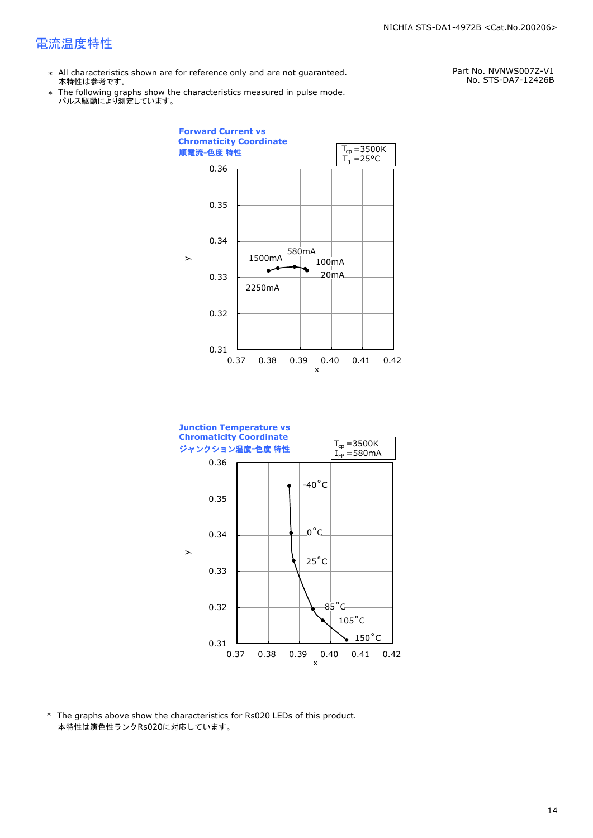- \* All characteristics shown are for reference only and are not guaranteed. 本特性は参考です。
- \* Ine following graphs show th<br>、パルス駆動により測定しています。 The following graphs show the characteristics measured in pulse mode.

Part No. NVNWS007Z-V1 No. STS-DA7-12426B





\* The graphs above show the characteristics for Rs020 LEDs of this product. 本特性は演色性ランクRs020に対応しています。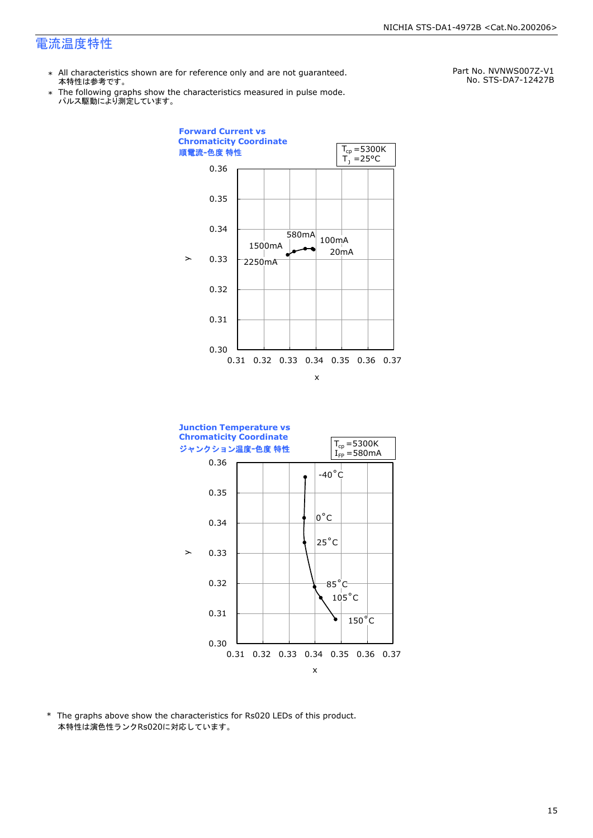- \* All characteristics shown are for reference only and are not guaranteed. 本特性は参考です。
- \* Ine following graphs show th<br>、パルス駆動により測定しています。 The following graphs show the characteristics measured in pulse mode.

Part No. NVNWS007Z-V1 No. STS-DA7-12427B





\* The graphs above show the characteristics for Rs020 LEDs of this product. 本特性は演色性ランクRs020に対応しています。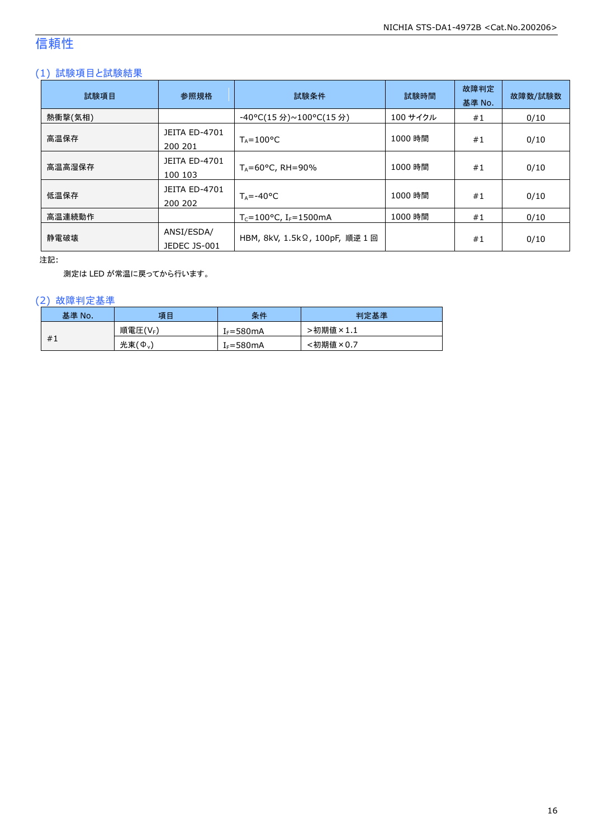### 信頼性

### (1) 試験項目と試験結果

| 試験項目    | 参照規格                            | 試験条件                                          | 試験時間     | 故障判定<br>基準 No. | 故障数/試験数 |
|---------|---------------------------------|-----------------------------------------------|----------|----------------|---------|
| 熱衝撃(気相) |                                 | -40°C(15 分)~100°C(15 分)                       | 100 サイクル | #1             | 0/10    |
| 高温保存    | <b>JEITA ED-4701</b><br>200 201 | $T_A = 100^{\circ}C$                          | 1000 時間  | #1             | 0/10    |
| 高温高湿保存  | <b>JEITA ED-4701</b><br>100 103 | $T_A = 60^{\circ}$ C, RH = 90%                | 1000 時間  | #1             | 0/10    |
| 低温保存    | JEITA ED-4701<br>200 202        | $T_{\text{A}} = -40^{\circ}C$                 | 1000 時間  | #1             | 0/10    |
| 高温連続動作  |                                 | $T_c = 100^{\circ}$ C, I <sub>F</sub> =1500mA | 1000 時間  | #1             | 0/10    |
| 静電破壊    | ANSI/ESDA/<br>JEDEC JS-001      | HBM, 8kV, 1.5kΩ, 100pF, 順逆 1回                 |          | #1             | 0/10    |

注記:

測定は LED が常温に戻ってから行います。

### (2) 故障判定基準

| 基準 No. | 項目      | 条件                    | 判定基準     |
|--------|---------|-----------------------|----------|
|        | 順電圧(VF) | [ <sub>F</sub> =580mA | ·初期値×1.1 |
| #1     | 光束(Ф.)  | $I_F = 580mA$         | :初期値×0.7 |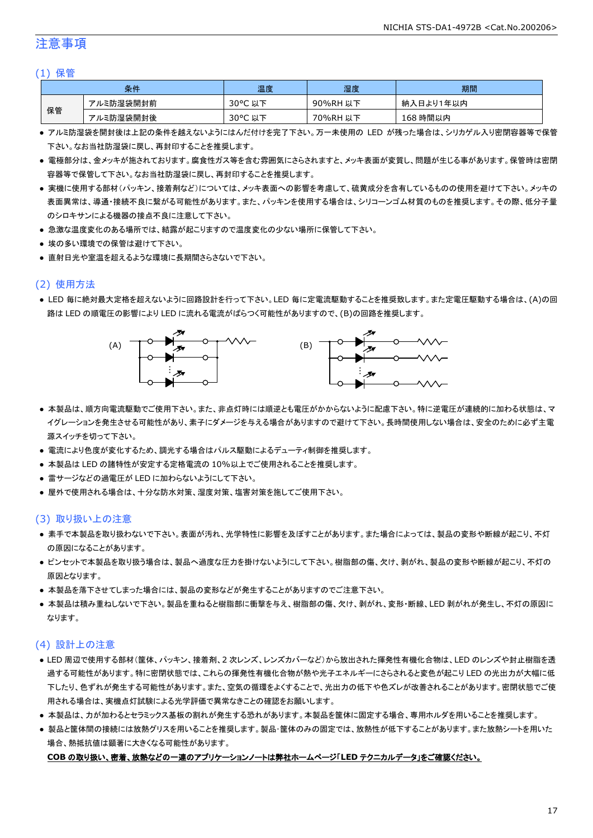### 注意事項

#### (1) 保管

|    | 条件        | 温度         | 湿度       | 期間        |
|----|-----------|------------|----------|-----------|
|    | アルミ防湿袋開封前 | 30°C<br>以下 | 90%RH 以下 | 納入日より1年以内 |
| 保管 | アルミ防湿袋開封後 | 30°C 以下    | 70%RH 以下 | 168 時間以内  |

- アルミ防湿袋を開封後は上記の条件を越えないようにはんだ付けを完了下さい。万一未使用の LED が残った場合は、シリカゲル入り密閉容器等で保管 下さい。なお当社防湿袋に戻し、再封印することを推奨します。
- 電極部分は、金メッキが施されております。腐食性ガス等を含む雰囲気にさらされますと、メッキ表面が変質し、問題が生じる事があります。保管時は密閉 容器等で保管して下さい。なお当社防湿袋に戻し、再封印することを推奨します。
- 実機に使用する部材(パッキン、接着剤など)については、メッキ表面への影響を考慮して、硫黄成分を含有しているものの使用を避けて下さい。メッキの 表面異常は、導通・接続不良に繋がる可能性があります。また、パッキンを使用する場合は、シリコーンゴム材質のものを推奨します。その際、低分子量 のシロキサンによる機器の接点不良に注意して下さい。
- 急激な温度変化のある場所では、結露が起こりますので温度変化の少ない場所に保管して下さい。
- 埃の多い環境での保管は避けて下さい。
- 直射日光や室温を超えるような環境に長期間さらさないで下さい。

### (2) 使用方法

● LED 毎に絶対最大定格を超えないように回路設計を行って下さい。LED 毎に定電流駆動することを推奨致します。また定電圧駆動する場合は、(A)の回 路は LED の順電圧の影響により LED に流れる電流がばらつく可能性がありますので、(B)の回路を推奨します。



- 本製品は、順方向電流駆動でご使用下さい。また、非点灯時には順逆とも電圧がかからないように配慮下さい。特に逆電圧が連続的に加わる状態は、マ イグレーションを発生させる可能性があり、素子にダメージを与える場合がありますので避けて下さい。長時間使用しない場合は、安全のために必ず主電 源スイッチを切って下さい。
- 電流により色度が変化するため、調光する場合はパルス駆動によるデューティ制御を推奨します。
- 本製品は LED の諸特性が安定する定格電流の 10%以上でご使用されることを推奨します。
- 雷サージなどの過電圧が LED に加わらないようにして下さい。
- 屋外で使用される場合は、十分な防水対策、湿度対策、塩害対策を施してご使用下さい。

#### (3) 取り扱い上の注意

- 素手で本製品を取り扱わないで下さい。表面が汚れ、光学特性に影響を及ぼすことがあります。また場合によっては、製品の変形や断線が起こり、不灯 の原因になることがあります。
- ピンセットで本製品を取り扱う場合は、製品へ過度な圧力を掛けないようにして下さい。樹脂部の傷、欠け、剥がれ、製品の変形や断線が起こり、不灯の 原因となります。
- 本製品を落下させてしまった場合には、製品の変形などが発生することがありますのでご注意下さい。
- 本製品は積み重ねしないで下さい。製品を重ねると樹脂部に衝撃を与え、樹脂部の傷、欠け、剥がれ、変形・断線、LED 剥がれが発生し、不灯の原因に なります。

#### (4) 設計上の注意

- LED 周辺で使用する部材(筐体、パッキン、接着剤、2 次レンズ、レンズカバーなど)から放出された揮発性有機化合物は、LED のレンズや封止樹脂を透 過する可能性があります。特に密閉状態では、これらの揮発性有機化合物が熱や光子エネルギーにさらされると変色が起こり LED の光出力が大幅に低 下したり、色ずれが発生する可能性があります。また、空気の循環をよくすることで、光出力の低下や色ズレが改善されることがあります。密閉状態でご使 用される場合は、実機点灯試験による光学評価で異常なきことの確認をお願いします。
- 本製品は、カが加わるとセラミックス基板の割れが発生する恐れがあります。本製品を筐体に固定する場合、専用ホルダを用いることを推奨します。
- 製品と筐体間の接続には放熱グリスを用いることを推奨します。製品・筐体のみの固定では、放熱性が低下することがあります。また放熱シートを用いた 場合、熱抵抗値は顕著に大きくなる可能性があります。

#### **COB** の取り扱い、密着、放熱などの一連のアプリケーションノートは弊社ホームページ「**LED** テクニカルデータ」をご確認ください。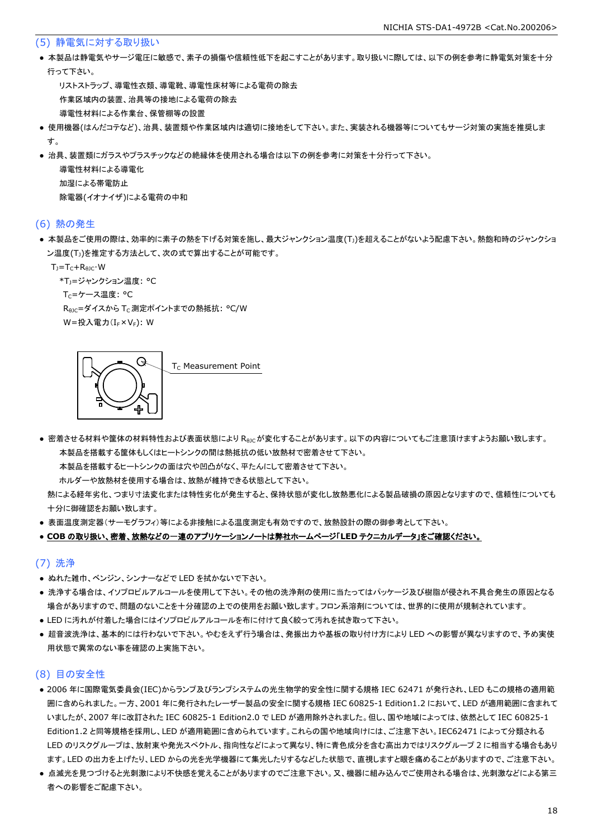#### (5) 静電気に対する取り扱い

● 本製品は静電気やサージ電圧に敏感で、素子の損傷や信頼性低下を起こすことがあります。取り扱いに際しては、以下の例を参考に静電気対策を十分 行って下さい。

 リストストラップ、導電性衣類、導電靴、導電性床材等による電荷の除去 作業区域内の装置、治具等の接地による電荷の除去 導電性材料による作業台、保管棚等の設置

- 使用機器(はんだコテなど)、治具、装置類や作業区域内は適切に接地をして下さい。また、実装される機器等についてもサージ対策の実施を推奨しま す。
- 治具、装置類にガラスやプラスチックなどの絶縁体を使用される場合は以下の例を参考に対策を十分行って下さい。

 導電性材料による導電化 加湿による帯電防止 除電器(イオナイザ)による電荷の中和

#### (6) 熱の発生

● 本製品をご使用の際は、効率的に素子の熱を下げる対策を施し、最大ジャンクション温度(T」)を超えることがないよう配慮下さい。熱飽和時のジャンクショ ン温度(T」)を推定する方法として、次の式で算出することが可能です。

 $T_1 = T_C + R_{B1C} \cdot W$ 

\*T<sub>1</sub>=ジャンクション温度: °C

T<sub>C</sub>=ケース温度: °C

R<sub>0JC</sub>=ダイスから T<sub>C</sub> 測定ポイントまでの熱抵抗: °C/W W=投入電力(I<sub>F</sub>×V<sub>F</sub>): W

G T<sub>c</sub> Measurement Point

● 密着させる材料や筐体の材料特性および表面状態により Reicが変化することがあります。以下の内容についてもご注意頂けますようお願い致します。 本製品を搭載する筐体もしくはヒートシンクの間は熱抵抗の低い放熱材で密着させて下さい。

本製品を搭載するヒートシンクの面は穴や凹凸がなく、平たんにして密着させて下さい。

ホルダーや放熱材を使用する場合は、放熱が維持できる状態として下さい。

 熱による経年劣化、つまり寸法変化または特性劣化が発生すると、保持状態が変化し放熱悪化による製品破損の原因となりますので、信頼性についても 十分に御確認をお願い致します。

● 表面温度測定器(サーモグラフィ)等による非接触による温度測定も有効ですので、放熱設計の際の御参考として下さい。

#### ● **COB** の取り扱い、密着、放熱などの一連のアプリケーションノートは弊社ホームページ「**LED** テクニカルデータ」をご確認ください。

#### (7) 洗浄

- ぬれた雑巾、ベンジン、シンナーなどで LED を拭かないで下さい。
- 洗浄する場合は、イソプロピルアルコールを使用して下さい。その他の洗浄剤の使用に当たってはパッケージ及び樹脂が侵され不具合発生の原因となる 場合がありますので、問題のないことを十分確認の上での使用をお願い致します。フロン系溶剤については、世界的に使用が規制されています。
- LED に汚れが付着した場合にはイソプロピルアルコールを布に付けて良く絞って汚れを拭き取って下さい。
- 超音波洗浄は、基本的には行わないで下さい。やむをえず行う場合は、発振出力や基板の取り付け方により LED への影響が異なりますので、予め実使 用状態で異常のない事を確認の上実施下さい。

#### (8) 目の安全性

- 2006 年に国際電気委員会(IEC)からランプ及びランプシステムの光生物学的安全性に関する規格 IEC 62471 が発行され、LED もこの規格の適用範 囲に含められました。一方、2001 年に発行されたレーザー製品の安全に関する規格 IEC 60825-1 Edition1.2 において、LED が適用範囲に含まれて いましたが、2007 年に改訂された IEC 60825-1 Edition2.0 で LED が適用除外されました。但し、国や地域によっては、依然として IEC 60825-1 Edition1.2 と同等規格を採用し、LED が適用範囲に含められています。これらの国や地域向けには、ご注意下さい。IEC62471 によって分類される LED のリスクグループは、放射束や発光スペクトル、指向性などによって異なり、特に青色成分を含む高出力ではリスクグループ 2 に相当する場合もあり ます。LED の出力を上げたり、LED からの光を光学機器にて集光したりするなどした状態で、直視しますと眼を痛めることがありますので、ご注意下さい。
- 点滅光を見つづけると光刺激により不快感を覚えることがありますのでご注意下さい。又、機器に組み込んでご使用される場合は、光刺激などによる第三 者への影響をご配慮下さい。